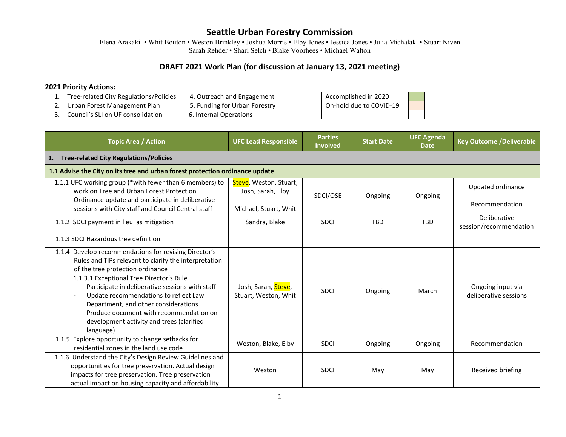Elena Arakaki • Whit Bouton • Weston Brinkley • Joshua Morris • Elby Jones • Jessica Jones • Julia Michalak • Stuart Niven Sarah Rehder • Shari Selch • Blake Voorhees • Michael Walton

#### **DRAFT 2021 Work Plan (for discussion at January 13, 2021 meeting)**

#### **2021 Priority Actions:**

| Tree-related City Regulations/Policies | 4. Outreach and Engagement    | Accomplished in 2020    |  |
|----------------------------------------|-------------------------------|-------------------------|--|
| Urban Forest Management Plan           | 5. Funding for Urban Forestry | On-hold due to COVID-19 |  |
| Council's SLI on UF consolidation      | 6. Internal Operations        |                         |  |

| <b>Topic Area / Action</b>                                                                                                                                                                                                                                                                                                                                                                                                                                | <b>UFC Lead Responsible</b>                                          | <b>Parties</b><br><b>Involved</b> | <b>Start Date</b> | <b>UFC Agenda</b><br><b>Date</b> | <b>Key Outcome /Deliverable</b>            |  |
|-----------------------------------------------------------------------------------------------------------------------------------------------------------------------------------------------------------------------------------------------------------------------------------------------------------------------------------------------------------------------------------------------------------------------------------------------------------|----------------------------------------------------------------------|-----------------------------------|-------------------|----------------------------------|--------------------------------------------|--|
| <b>Tree-related City Regulations/Policies</b><br>1.                                                                                                                                                                                                                                                                                                                                                                                                       |                                                                      |                                   |                   |                                  |                                            |  |
| 1.1 Advise the City on its tree and urban forest protection ordinance update                                                                                                                                                                                                                                                                                                                                                                              |                                                                      |                                   |                   |                                  |                                            |  |
| 1.1.1 UFC working group (*with fewer than 6 members) to<br>work on Tree and Urban Forest Protection<br>Ordinance update and participate in deliberative<br>sessions with City staff and Council Central staff                                                                                                                                                                                                                                             | Steve, Weston, Stuart,<br>Josh, Sarah, Elby<br>Michael, Stuart, Whit | SDCI/OSE                          | Ongoing           | Ongoing                          | Updated ordinance<br>Recommendation        |  |
| 1.1.2 SDCI payment in lieu as mitigation                                                                                                                                                                                                                                                                                                                                                                                                                  | Sandra, Blake                                                        | <b>SDCI</b>                       | <b>TBD</b>        | <b>TBD</b>                       | Deliberative<br>session/recommendation     |  |
| 1.1.3 SDCI Hazardous tree definition                                                                                                                                                                                                                                                                                                                                                                                                                      |                                                                      |                                   |                   |                                  |                                            |  |
| 1.1.4 Develop recommendations for revising Director's<br>Rules and TIPs relevant to clarify the interpretation<br>of the tree protection ordinance<br>1.1.3.1 Exceptional Tree Director's Rule<br>Participate in deliberative sessions with staff<br>Update recommendations to reflect Law<br>Department, and other considerations<br>Produce document with recommendation on<br>$\blacksquare$<br>development activity and trees (clarified<br>language) | Josh, Sarah, Steve,<br>Stuart, Weston, Whit                          | <b>SDCI</b>                       | Ongoing           | March                            | Ongoing input via<br>deliberative sessions |  |
| 1.1.5 Explore opportunity to change setbacks for<br>residential zones in the land use code                                                                                                                                                                                                                                                                                                                                                                | Weston, Blake, Elby                                                  | <b>SDCI</b>                       | Ongoing           | Ongoing                          | Recommendation                             |  |
| 1.1.6 Understand the City's Design Review Guidelines and<br>opportunities for tree preservation. Actual design<br>impacts for tree preservation. Tree preservation<br>actual impact on housing capacity and affordability.                                                                                                                                                                                                                                | Weston                                                               | <b>SDCI</b>                       | May               | May                              | Received briefing                          |  |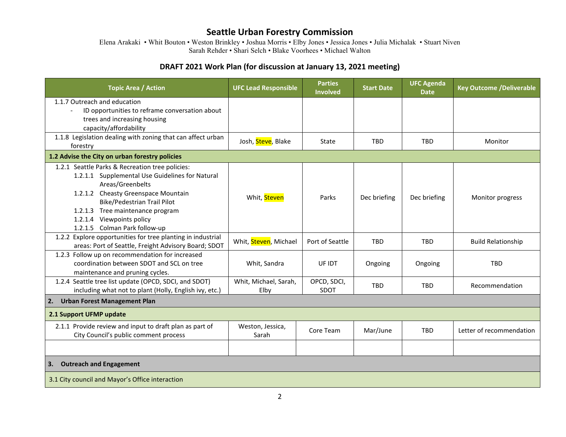Elena Arakaki • Whit Bouton • Weston Brinkley • Joshua Morris • Elby Jones • Jessica Jones • Julia Michalak • Stuart Niven Sarah Rehder • Shari Selch • Blake Voorhees • Michael Walton

| <b>Topic Area / Action</b>                                                                   | <b>UFC Lead Responsible</b> | <b>Parties</b><br><b>Involved</b> | <b>Start Date</b> | <b>UFC Agenda</b><br><b>Date</b> | <b>Key Outcome /Deliverable</b> |  |
|----------------------------------------------------------------------------------------------|-----------------------------|-----------------------------------|-------------------|----------------------------------|---------------------------------|--|
| 1.1.7 Outreach and education<br>ID opportunities to reframe conversation about               |                             |                                   |                   |                                  |                                 |  |
| trees and increasing housing                                                                 |                             |                                   |                   |                                  |                                 |  |
| capacity/affordability                                                                       |                             |                                   |                   |                                  |                                 |  |
| 1.1.8 Legislation dealing with zoning that can affect urban                                  | Josh, Steve, Blake          | State                             | <b>TBD</b>        | <b>TBD</b>                       | Monitor                         |  |
| forestry                                                                                     |                             |                                   |                   |                                  |                                 |  |
| 1.2 Advise the City on urban forestry policies                                               |                             |                                   |                   |                                  |                                 |  |
| 1.2.1 Seattle Parks & Recreation tree policies:                                              |                             |                                   |                   |                                  |                                 |  |
| 1.2.1.1 Supplemental Use Guidelines for Natural<br>Areas/Greenbelts                          |                             |                                   |                   |                                  |                                 |  |
| 1.2.1.2 Cheasty Greenspace Mountain                                                          |                             |                                   |                   |                                  |                                 |  |
| <b>Bike/Pedestrian Trail Pilot</b>                                                           | Whit, Steven                | Parks                             | Dec briefing      | Dec briefing                     | Monitor progress                |  |
| 1.2.1.3 Tree maintenance program                                                             |                             |                                   |                   |                                  |                                 |  |
| 1.2.1.4 Viewpoints policy                                                                    |                             |                                   |                   |                                  |                                 |  |
| 1.2.1.5 Colman Park follow-up                                                                |                             |                                   |                   |                                  |                                 |  |
| 1.2.2 Explore opportunities for tree planting in industrial                                  | Whit, Steven, Michael       | Port of Seattle                   | <b>TBD</b>        | <b>TBD</b>                       | <b>Build Relationship</b>       |  |
| areas: Port of Seattle, Freight Advisory Board; SDOT                                         |                             |                                   |                   |                                  |                                 |  |
| 1.2.3 Follow up on recommendation for increased<br>coordination between SDOT and SCL on tree | Whit, Sandra                | UF IDT                            | Ongoing           | Ongoing                          | <b>TBD</b>                      |  |
| maintenance and pruning cycles.                                                              |                             |                                   |                   |                                  |                                 |  |
| 1.2.4 Seattle tree list update (OPCD, SDCI, and SDOT)                                        | Whit, Michael, Sarah,       | OPCD, SDCI,                       |                   |                                  |                                 |  |
| including what not to plant (Holly, English ivy, etc.)                                       | Elby                        | SDOT                              | <b>TBD</b>        | <b>TBD</b>                       | Recommendation                  |  |
| <b>Urban Forest Management Plan</b><br>2.                                                    |                             |                                   |                   |                                  |                                 |  |
| 2.1 Support UFMP update                                                                      |                             |                                   |                   |                                  |                                 |  |
| 2.1.1 Provide review and input to draft plan as part of                                      | Weston, Jessica,            | Core Team                         | Mar/June          | <b>TBD</b>                       | Letter of recommendation        |  |
| City Council's public comment process                                                        | Sarah                       |                                   |                   |                                  |                                 |  |
|                                                                                              |                             |                                   |                   |                                  |                                 |  |
| <b>Outreach and Engagement</b><br>3.                                                         |                             |                                   |                   |                                  |                                 |  |
| 3.1 City council and Mayor's Office interaction                                              |                             |                                   |                   |                                  |                                 |  |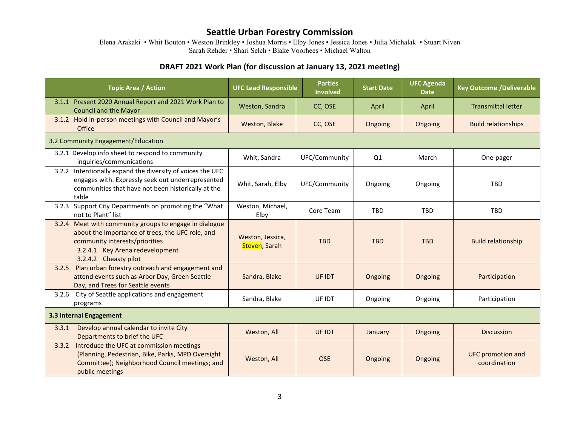Elena Arakaki • Whit Bouton • Weston Brinkley • Joshua Morris • Elby Jones • Jessica Jones • Julia Michalak • Stuart Niven Sarah Rehder • Shari Selch • Blake Voorhees • Michael Walton

| <b>Topic Area / Action</b>                                                                                                                                                                               | <b>UFC Lead Responsible</b>       | <b>Parties</b><br><b>Involved</b> | <b>Start Date</b> | <b>UFC Agenda</b><br><b>Date</b> | <b>Key Outcome /Deliverable</b>          |  |  |
|----------------------------------------------------------------------------------------------------------------------------------------------------------------------------------------------------------|-----------------------------------|-----------------------------------|-------------------|----------------------------------|------------------------------------------|--|--|
| 3.1.1 Present 2020 Annual Report and 2021 Work Plan to<br><b>Council and the Mayor</b>                                                                                                                   | Weston, Sandra                    | CC, OSE                           | April             | April                            | <b>Transmittal letter</b>                |  |  |
| 3.1.2 Hold in-person meetings with Council and Mayor's<br><b>Office</b>                                                                                                                                  | Weston, Blake                     | CC, OSE                           | Ongoing           | Ongoing                          | <b>Build relationships</b>               |  |  |
| 3.2 Community Engagement/Education                                                                                                                                                                       |                                   |                                   |                   |                                  |                                          |  |  |
| 3.2.1 Develop info sheet to respond to community<br>inquiries/communications                                                                                                                             | Whit, Sandra                      | UFC/Community                     | Q1                | March                            | One-pager                                |  |  |
| 3.2.2 Intentionally expand the diversity of voices the UFC<br>engages with. Expressly seek out underrepresented<br>communities that have not been historically at the<br>table                           | Whit, Sarah, Elby                 | UFC/Community                     | Ongoing           | Ongoing                          | <b>TBD</b>                               |  |  |
| Support City Departments on promoting the "What<br>3.2.3<br>not to Plant" list                                                                                                                           | Weston, Michael,<br>Elby          | Core Team                         | <b>TBD</b>        | <b>TBD</b>                       | <b>TBD</b>                               |  |  |
| 3.2.4 Meet with community groups to engage in dialogue<br>about the importance of trees, the UFC role, and<br>community interests/priorities<br>3.2.4.1 Key Arena redevelopment<br>3.2.4.2 Cheasty pilot | Weston, Jessica,<br>Steven, Sarah | <b>TBD</b>                        | <b>TBD</b>        | <b>TBD</b>                       | <b>Build relationship</b>                |  |  |
| Plan urban forestry outreach and engagement and<br>3.2.5<br>attend events such as Arbor Day, Green Seattle<br>Day, and Trees for Seattle events                                                          | Sandra, Blake                     | UF IDT                            | Ongoing           | Ongoing                          | Participation                            |  |  |
| City of Seattle applications and engagement<br>3.2.6<br>programs                                                                                                                                         | Sandra, Blake                     | UF IDT                            | Ongoing           | Ongoing                          | Participation                            |  |  |
| 3.3 Internal Engagement                                                                                                                                                                                  |                                   |                                   |                   |                                  |                                          |  |  |
| Develop annual calendar to invite City<br>3.3.1<br>Departments to brief the UFC                                                                                                                          | Weston, All                       | UF IDT                            | January           | Ongoing                          | <b>Discussion</b>                        |  |  |
| Introduce the UFC at commission meetings<br>3.3.2<br>(Planning, Pedestrian, Bike, Parks, MPD Oversight<br>Committee); Neighborhood Council meetings; and<br>public meetings                              | Weston, All                       | <b>OSE</b>                        | Ongoing           | Ongoing                          | <b>UFC promotion and</b><br>coordination |  |  |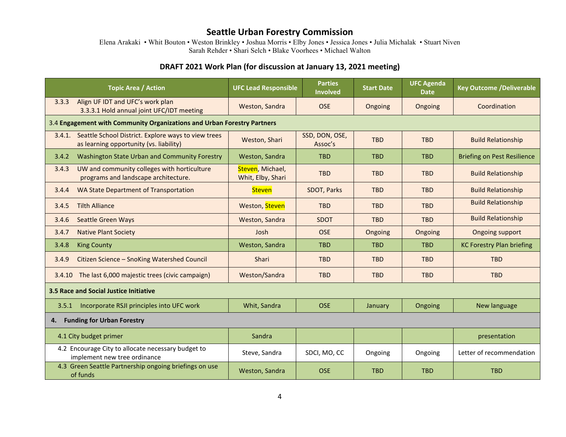Elena Arakaki • Whit Bouton • Weston Brinkley • Joshua Morris • Elby Jones • Jessica Jones • Julia Michalak • Stuart Niven Sarah Rehder • Shari Selch • Blake Voorhees • Michael Walton

| <b>Topic Area / Action</b>                                                                               | <b>UFC Lead Responsible</b>                                             | <b>Parties</b><br><b>Involved</b> | <b>Start Date</b> | <b>UFC Agenda</b><br><b>Date</b> | <b>Key Outcome /Deliverable</b>    |  |  |  |
|----------------------------------------------------------------------------------------------------------|-------------------------------------------------------------------------|-----------------------------------|-------------------|----------------------------------|------------------------------------|--|--|--|
| Align UF IDT and UFC's work plan<br>3.3.3<br>3.3.3.1 Hold annual joint UFC/IDT meeting                   | Weston, Sandra                                                          | <b>OSE</b>                        | Ongoing           | Ongoing                          | Coordination                       |  |  |  |
|                                                                                                          | 3.4 Engagement with Community Organizations and Urban Forestry Partners |                                   |                   |                                  |                                    |  |  |  |
| Seattle School District. Explore ways to view trees<br>3.4.1.<br>as learning opportunity (vs. liability) | Weston, Shari                                                           | SSD, DON, OSE,<br>Assoc's         | <b>TBD</b>        | <b>TBD</b>                       | <b>Build Relationship</b>          |  |  |  |
| Washington State Urban and Community Forestry<br>3.4.2                                                   | Weston, Sandra                                                          | <b>TBD</b>                        | <b>TBD</b>        | <b>TBD</b>                       | <b>Briefing on Pest Resilience</b> |  |  |  |
| UW and community colleges with horticulture<br>3.4.3<br>programs and landscape architecture.             | Steven, Michael,<br>Whit, Elby, Shari                                   | <b>TBD</b>                        | <b>TBD</b>        | <b>TBD</b>                       | <b>Build Relationship</b>          |  |  |  |
| WA State Department of Transportation<br>3.4.4                                                           | <b>Steven</b>                                                           | SDOT, Parks                       | <b>TBD</b>        | <b>TBD</b>                       | <b>Build Relationship</b>          |  |  |  |
| <b>Tilth Alliance</b><br>3.4.5                                                                           | Weston, Steven                                                          | <b>TBD</b>                        | <b>TBD</b>        | <b>TBD</b>                       | <b>Build Relationship</b>          |  |  |  |
| <b>Seattle Green Ways</b><br>3.4.6                                                                       | Weston, Sandra                                                          | <b>SDOT</b>                       | <b>TBD</b>        | <b>TBD</b>                       | <b>Build Relationship</b>          |  |  |  |
| <b>Native Plant Society</b><br>3.4.7                                                                     | Josh                                                                    | <b>OSE</b>                        | Ongoing           | Ongoing                          | <b>Ongoing support</b>             |  |  |  |
| 3.4.8<br><b>King County</b>                                                                              | Weston, Sandra                                                          | <b>TBD</b>                        | <b>TBD</b>        | <b>TBD</b>                       | <b>KC Forestry Plan briefing</b>   |  |  |  |
| Citizen Science - SnoKing Watershed Council<br>3.4.9                                                     | Shari                                                                   | <b>TBD</b>                        | <b>TBD</b>        | <b>TBD</b>                       | <b>TBD</b>                         |  |  |  |
| The last 6,000 majestic trees (civic campaign)<br>3.4.10                                                 | Weston/Sandra                                                           | <b>TBD</b>                        | <b>TBD</b>        | <b>TBD</b>                       | <b>TBD</b>                         |  |  |  |
| 3.5 Race and Social Justice Initiative                                                                   |                                                                         |                                   |                   |                                  |                                    |  |  |  |
| 3.5.1 Incorporate RSJI principles into UFC work                                                          | Whit, Sandra                                                            | <b>OSE</b>                        | January           | Ongoing                          | New language                       |  |  |  |
| <b>Funding for Urban Forestry</b><br>4.                                                                  |                                                                         |                                   |                   |                                  |                                    |  |  |  |
| 4.1 City budget primer                                                                                   | Sandra                                                                  |                                   |                   |                                  | presentation                       |  |  |  |
| 4.2 Encourage City to allocate necessary budget to<br>implement new tree ordinance                       | Steve, Sandra                                                           | SDCI, MO, CC                      | Ongoing           | Ongoing                          | Letter of recommendation           |  |  |  |
| 4.3 Green Seattle Partnership ongoing briefings on use<br>of funds                                       | Weston, Sandra                                                          | <b>OSE</b>                        | <b>TBD</b>        | <b>TBD</b>                       | <b>TBD</b>                         |  |  |  |